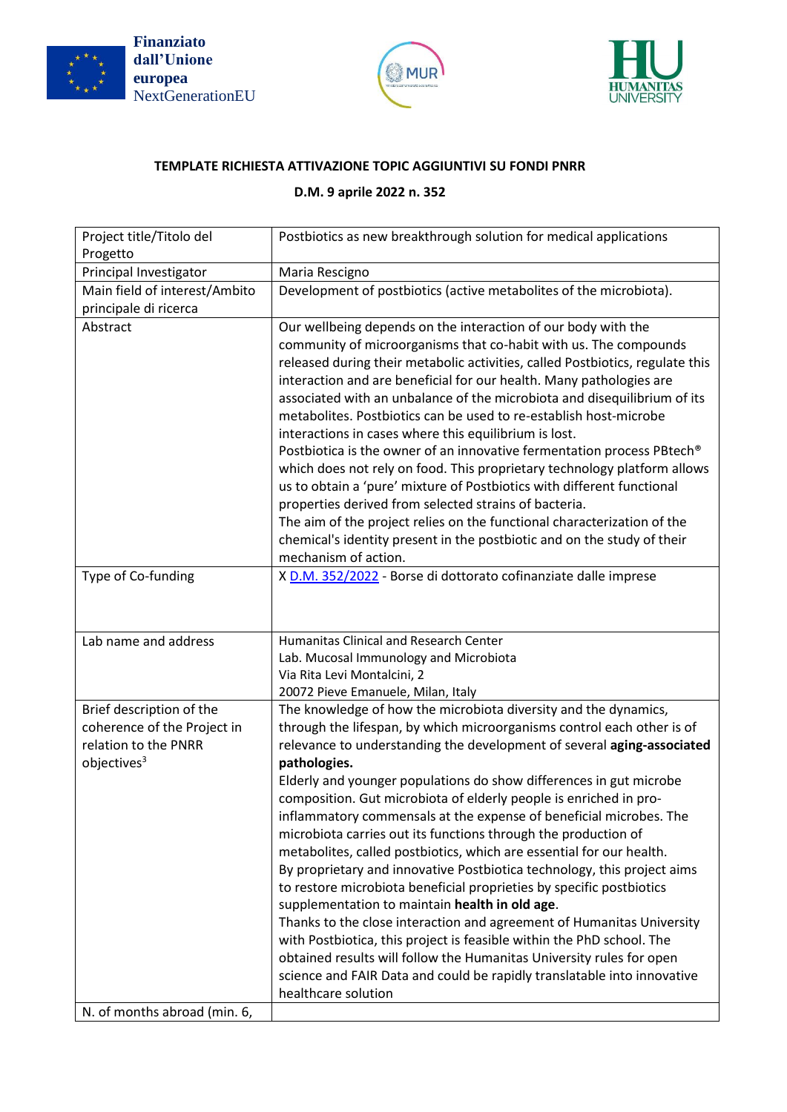





## **TEMPLATE RICHIESTA ATTIVAZIONE TOPIC AGGIUNTIVI SU FONDI PNRR**

## **D.M. 9 aprile 2022 n. 352**

| Project title/Titolo del<br>Progetto                                                                       | Postbiotics as new breakthrough solution for medical applications                                                                                                                                                                                                                                                                                                                                                                                                                                                                                                                                                                                                                                                                                                                                                                                                                                                                                                                                                                                                                                                               |
|------------------------------------------------------------------------------------------------------------|---------------------------------------------------------------------------------------------------------------------------------------------------------------------------------------------------------------------------------------------------------------------------------------------------------------------------------------------------------------------------------------------------------------------------------------------------------------------------------------------------------------------------------------------------------------------------------------------------------------------------------------------------------------------------------------------------------------------------------------------------------------------------------------------------------------------------------------------------------------------------------------------------------------------------------------------------------------------------------------------------------------------------------------------------------------------------------------------------------------------------------|
| Principal Investigator                                                                                     | Maria Rescigno                                                                                                                                                                                                                                                                                                                                                                                                                                                                                                                                                                                                                                                                                                                                                                                                                                                                                                                                                                                                                                                                                                                  |
| Main field of interest/Ambito<br>principale di ricerca                                                     | Development of postbiotics (active metabolites of the microbiota).                                                                                                                                                                                                                                                                                                                                                                                                                                                                                                                                                                                                                                                                                                                                                                                                                                                                                                                                                                                                                                                              |
| Abstract                                                                                                   | Our wellbeing depends on the interaction of our body with the<br>community of microorganisms that co-habit with us. The compounds<br>released during their metabolic activities, called Postbiotics, regulate this<br>interaction and are beneficial for our health. Many pathologies are<br>associated with an unbalance of the microbiota and disequilibrium of its<br>metabolites. Postbiotics can be used to re-establish host-microbe<br>interactions in cases where this equilibrium is lost.<br>Postbiotica is the owner of an innovative fermentation process PBtech®<br>which does not rely on food. This proprietary technology platform allows<br>us to obtain a 'pure' mixture of Postbiotics with different functional<br>properties derived from selected strains of bacteria.<br>The aim of the project relies on the functional characterization of the<br>chemical's identity present in the postbiotic and on the study of their<br>mechanism of action.                                                                                                                                                      |
| Type of Co-funding                                                                                         | X D.M. 352/2022 - Borse di dottorato cofinanziate dalle imprese                                                                                                                                                                                                                                                                                                                                                                                                                                                                                                                                                                                                                                                                                                                                                                                                                                                                                                                                                                                                                                                                 |
| Lab name and address                                                                                       | Humanitas Clinical and Research Center<br>Lab. Mucosal Immunology and Microbiota<br>Via Rita Levi Montalcini, 2<br>20072 Pieve Emanuele, Milan, Italy                                                                                                                                                                                                                                                                                                                                                                                                                                                                                                                                                                                                                                                                                                                                                                                                                                                                                                                                                                           |
| Brief description of the<br>coherence of the Project in<br>relation to the PNRR<br>objectives <sup>3</sup> | The knowledge of how the microbiota diversity and the dynamics,<br>through the lifespan, by which microorganisms control each other is of<br>relevance to understanding the development of several aging-associated<br>pathologies.<br>Elderly and younger populations do show differences in gut microbe<br>composition. Gut microbiota of elderly people is enriched in pro-<br>inflammatory commensals at the expense of beneficial microbes. The<br>microbiota carries out its functions through the production of<br>metabolites, called postbiotics, which are essential for our health.<br>By proprietary and innovative Postbiotica technology, this project aims<br>to restore microbiota beneficial proprieties by specific postbiotics<br>supplementation to maintain health in old age.<br>Thanks to the close interaction and agreement of Humanitas University<br>with Postbiotica, this project is feasible within the PhD school. The<br>obtained results will follow the Humanitas University rules for open<br>science and FAIR Data and could be rapidly translatable into innovative<br>healthcare solution |
| N. of months abroad (min. 6,                                                                               |                                                                                                                                                                                                                                                                                                                                                                                                                                                                                                                                                                                                                                                                                                                                                                                                                                                                                                                                                                                                                                                                                                                                 |